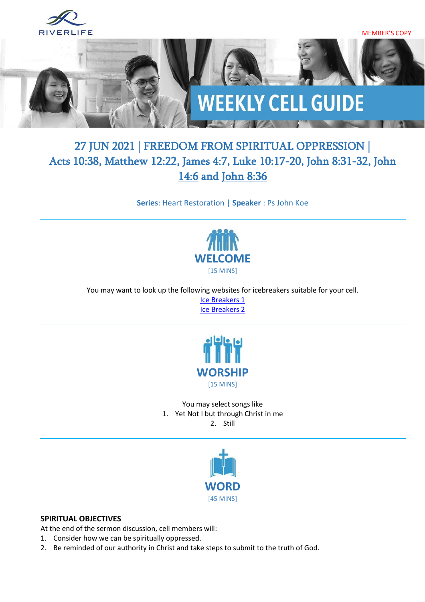

# 27 JUN 2021 | FREEDOM FROM SPIRITUAL OPPRESSION | [Acts 10:38,](https://www.biblegateway.com/passage/?search=Acts+10%3A38&version=ESV) [Matthew 12:22,](https://www.biblegateway.com/passage/?search=Matthew+12%3A22&version=ESV) [James 4:7,](https://www.biblegateway.com/passage/?search=James+4%3A7&version=ESV) [Luke 10:17-20,](https://www.biblegateway.com/passage/?search=Luke+10%3A17-20&version=ESV) [John 8:31-32,](https://www.biblegateway.com/passage/?search=John+8%3A31-32&version=ESV) [John](https://www.biblegateway.com/passage/?search=John+14%3A6&version=ESV)  [14:6](https://www.biblegateway.com/passage/?search=John+14%3A6&version=ESV) and [John 8:36](https://www.biblegateway.com/passage/?search=John+8%3A36&version=ESV)

**Series**: Heart Restoration | **Speaker** : Ps John Koe



You may want to look up the following websites for icebreakers suitable for your cell. [Ice Breakers 1](http://www.thesource4ym.com/games/) [Ice Breakers 2](http://www.christianitytoday.com/smallgroups/articles/icebreakersbeyond.html)



You may select songs like 1. Yet Not I but through Christ in me 2. Still



#### **SPIRITUAL OBJECTIVES**

At the end of the sermon discussion, cell members will:

- 1. Consider how we can be spiritually oppressed.
- 2. Be reminded of our authority in Christ and take steps to submit to the truth of God.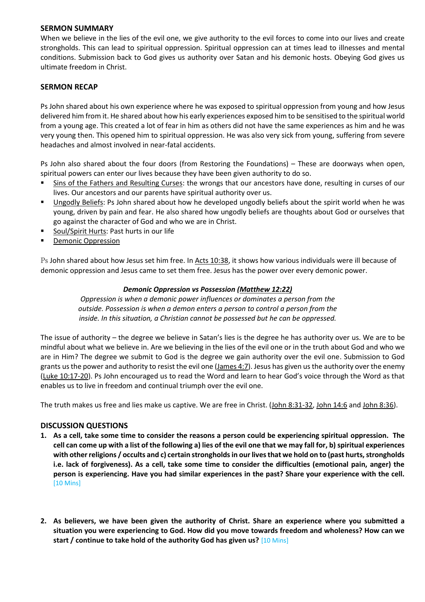#### **SERMON SUMMARY**

When we believe in the lies of the evil one, we give authority to the evil forces to come into our lives and create strongholds. This can lead to spiritual oppression. Spiritual oppression can at times lead to illnesses and mental conditions. Submission back to God gives us authority over Satan and his demonic hosts. Obeying God gives us ultimate freedom in Christ.

#### **SERMON RECAP**

Ps John shared about his own experience where he was exposed to spiritual oppression from young and how Jesus delivered him from it. He shared about how his early experiences exposed him to be sensitised to the spiritual world from a young age. This created a lot of fear in him as others did not have the same experiences as him and he was very young then. This opened him to spiritual oppression. He was also very sick from young, suffering from severe headaches and almost involved in near-fatal accidents.

Ps John also shared about the four doors (from Restoring the Foundations) – These are doorways when open, spiritual powers can enter our lives because they have been given authority to do so.

- Sins of the Fathers and Resulting Curses: the wrongs that our ancestors have done, resulting in curses of our lives. Our ancestors and our parents have spiritual authority over us.
- Ungodly Beliefs: Ps John shared about how he developed ungodly beliefs about the spirit world when he was young, driven by pain and fear. He also shared how ungodly beliefs are thoughts about God or ourselves that go against the character of God and who we are in Christ.
- Soul/Spirit Hurts: Past hurts in our life
- **Demonic Oppression**

Ps John shared about how Jesus set him free. In [Acts 10:38,](https://www.biblegateway.com/passage/?search=Acts+10%3A38&version=ESV) it shows how various individuals were ill because of demonic oppression and Jesus came to set them free. Jesus has the power over every demonic power.

#### *Demonic Oppression vs Possession [\(Matthew 12:22\)](https://www.biblegateway.com/passage/?search=Matthew+12%3A22&version=ESV)*

*Oppression is when a demonic power influences or dominates a person from the outside. Possession is when a demon enters a person to control a person from the inside. In this situation, a Christian cannot be possessed but he can be oppressed.*

The issue of authority – the degree we believe in Satan's lies is the degree he has authority over us. We are to be mindful about what we believe in. Are we believing in the lies of the evil one or in the truth about God and who we are in Him? The degree we submit to God is the degree we gain authority over the evil one. Submission to God grants us the power and authority to resist the evil one [\(James 4:7\)](https://www.biblegateway.com/passage/?search=James+4%3A7&version=ESV). Jesus has given us the authority over the enemy [\(Luke 10:17-20\)](https://www.biblegateway.com/passage/?search=Luke+10%3A17-20&version=ESV). Ps John encouraged us to read the Word and learn to hear God's voice through the Word as that enables us to live in freedom and continual triumph over the evil one.

The truth makes us free and lies make us captive. We are free in Christ. [\(John 8:31-32,](https://www.biblegateway.com/passage/?search=John+8%3A31-32&version=ESV) [John 14:6](https://www.biblegateway.com/passage/?search=John+14%3A6&version=ESV) and [John 8:36\)](https://www.biblegateway.com/passage/?search=John+8%3A36&version=ESV).

#### **DISCUSSION QUESTIONS**

- **1. As a cell, take some time to consider the reasons a person could be experiencing spiritual oppression. The cell can come up with a list of the following a) lies of the evil one that we may fall for, b) spiritual experiences with other religions / occults and c) certain strongholds in our lives that we hold on to (past hurts, strongholds i.e. lack of forgiveness). As a cell, take some time to consider the difficulties (emotional pain, anger) the person is experiencing. Have you had similar experiences in the past? Share your experience with the cell.** [10 Mins]
- **2. As believers, we have been given the authority of Christ. Share an experience where you submitted a situation you were experiencing to God. How did you move towards freedom and wholeness? How can we start / continue to take hold of the authority God has given us?** [10 Mins]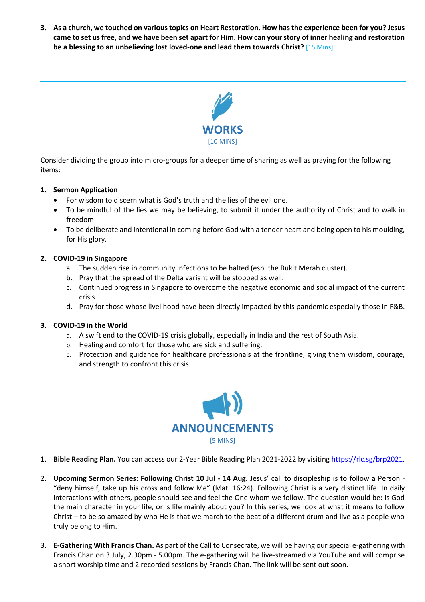**3. As a church, we touched on various topics on Heart Restoration. How has the experience been for you? Jesus came to set us free, and we have been set apart for Him. How can your story of inner healing and restoration be a blessing to an unbelieving lost loved-one and lead them towards Christ?** [15 Mins]



Consider dividing the group into micro-groups for a deeper time of sharing as well as praying for the following items:

#### **1. Sermon Application**

- For wisdom to discern what is God's truth and the lies of the evil one.
- To be mindful of the lies we may be believing, to submit it under the authority of Christ and to walk in freedom
- To be deliberate and intentional in coming before God with a tender heart and being open to his moulding, for His glory.

#### **2. COVID-19 in Singapore**

- a. The sudden rise in community infections to be halted (esp. the Bukit Merah cluster).
- b. Pray that the spread of the Delta variant will be stopped as well.
- c. Continued progress in Singapore to overcome the negative economic and social impact of the current crisis.
- d. Pray for those whose livelihood have been directly impacted by this pandemic especially those in F&B.

#### **3. COVID-19 in the World**

- a. A swift end to the COVID-19 crisis globally, especially in India and the rest of South Asia.
- b. Healing and comfort for those who are sick and suffering.
- c. Protection and guidance for healthcare professionals at the frontline; giving them wisdom, courage, and strength to confront this crisis.



- 1. **Bible Reading Plan.** You can access our 2-Year Bible Reading Plan 2021-2022 by visiting [https://rlc.sg/brp2021.](https://rlc.sg/brp2021)
- 2. **Upcoming Sermon Series: Following Christ 10 Jul - 14 Aug.** Jesus' call to discipleship is to follow a Person "deny himself, take up his cross and follow Me" (Mat. 16:24). Following Christ is a very distinct life. In daily interactions with others, people should see and feel the One whom we follow. The question would be: Is God the main character in your life, or is life mainly about you? In this series, we look at what it means to follow Christ – to be so amazed by who He is that we march to the beat of a different drum and live as a people who truly belong to Him.
- 3. **E-Gathering With Francis Chan.** As part of the Call to Consecrate, we will be having our special e-gathering with Francis Chan on 3 July, 2.30pm - 5.00pm. The e-gathering will be live-streamed via YouTube and will comprise a short worship time and 2 recorded sessions by Francis Chan. The link will be sent out soon.